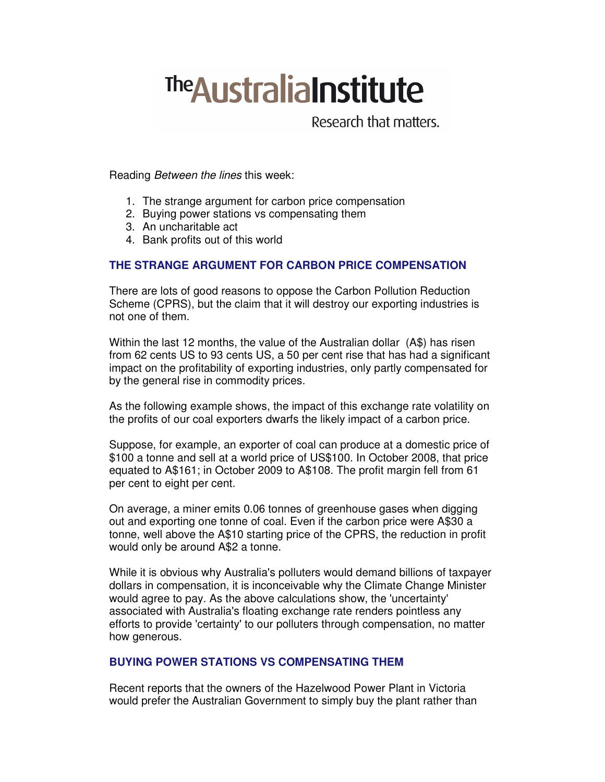# **The Australia Institute**

Research that matters.

Reading Between the lines this week:

- 1. The strange argument for carbon price compensation
- 2. Buying power stations vs compensating them
- 3. An uncharitable act
- 4. Bank profits out of this world

## **THE STRANGE ARGUMENT FOR CARBON PRICE COMPENSATION**

There are lots of good reasons to oppose the Carbon Pollution Reduction Scheme (CPRS), but the claim that it will destroy our exporting industries is not one of them.

Within the last 12 months, the value of the Australian dollar (A\$) has risen from 62 cents US to 93 cents US, a 50 per cent rise that has had a significant impact on the profitability of exporting industries, only partly compensated for by the general rise in commodity prices.

As the following example shows, the impact of this exchange rate volatility on the profits of our coal exporters dwarfs the likely impact of a carbon price.

Suppose, for example, an exporter of coal can produce at a domestic price of \$100 a tonne and sell at a world price of US\$100. In October 2008, that price equated to A\$161; in October 2009 to A\$108. The profit margin fell from 61 per cent to eight per cent.

On average, a miner emits 0.06 tonnes of greenhouse gases when digging out and exporting one tonne of coal. Even if the carbon price were A\$30 a tonne, well above the A\$10 starting price of the CPRS, the reduction in profit would only be around A\$2 a tonne.

While it is obvious why Australia's polluters would demand billions of taxpayer dollars in compensation, it is inconceivable why the Climate Change Minister would agree to pay. As the above calculations show, the 'uncertainty' associated with Australia's floating exchange rate renders pointless any efforts to provide 'certainty' to our polluters through compensation, no matter how generous.

### **BUYING POWER STATIONS VS COMPENSATING THEM**

Recent reports that the owners of the Hazelwood Power Plant in Victoria would prefer the Australian Government to simply buy the plant rather than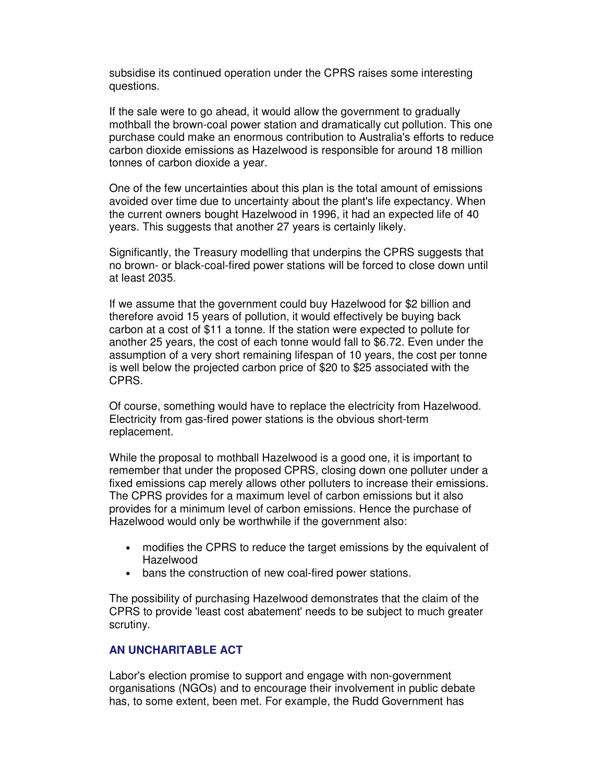subsidise its continued operation under the CPRS raises some interesting questions.

If the sale were to go ahead, it would allow the government to gradually mothball the brown-coal power station and dramatically cut pollution. This one purchase could make an enormous contribution to Australia's efforts to reduce carbon dioxide emissions as Hazelwood is responsible for around 18 million tonnes of carbon dioxide a year.

One of the few uncertainties about this plan is the total amount of emissions avoided over time due to uncertainty about the plant's life expectancy. When the current owners bought Hazelwood in 1996, it had an expected life of 40 years. This suggests that another 27 years is certainly likely.

Significantly, the Treasury modelling that underpins the CPRS suggests that no brown- or black-coal-fired power stations will be forced to close down until at least 2035.

If we assume that the government could buy Hazelwood for \$2 billion and therefore avoid 15 years of pollution, it would effectively be buying back carbon at a cost of \$11 a tonne. If the station were expected to pollute for another 25 years, the cost of each tonne would fall to \$6.72. Even under the assumption of a very short remaining lifespan of 10 years, the cost per tonne is well below the projected carbon price of \$20 to \$25 associated with the CPRS.

Of course, something would have to replace the electricity from Hazelwood. Electricity from gas-fired power stations is the obvious short-term replacement.

While the proposal to mothball Hazelwood is a good one, it is important to remember that under the proposed CPRS, closing down one polluter under a fixed emissions cap merely allows other polluters to increase their emissions. The CPRS provides for a maximum level of carbon emissions but it also provides for a minimum level of carbon emissions. Hence the purchase of Hazelwood would only be worthwhile if the government also:

- modifies the CPRS to reduce the target emissions by the equivalent of Hazelwood
- bans the construction of new coal-fired power stations.

The possibility of purchasing Hazelwood demonstrates that the claim of the CPRS to provide 'least cost abatement' needs to be subject to much greater scrutiny.

#### **AN UNCHARITABLE ACT**

Labor's election promise to support and engage with non-government organisations (NGOs) and to encourage their involvement in public debate has, to some extent, been met. For example, the Rudd Government has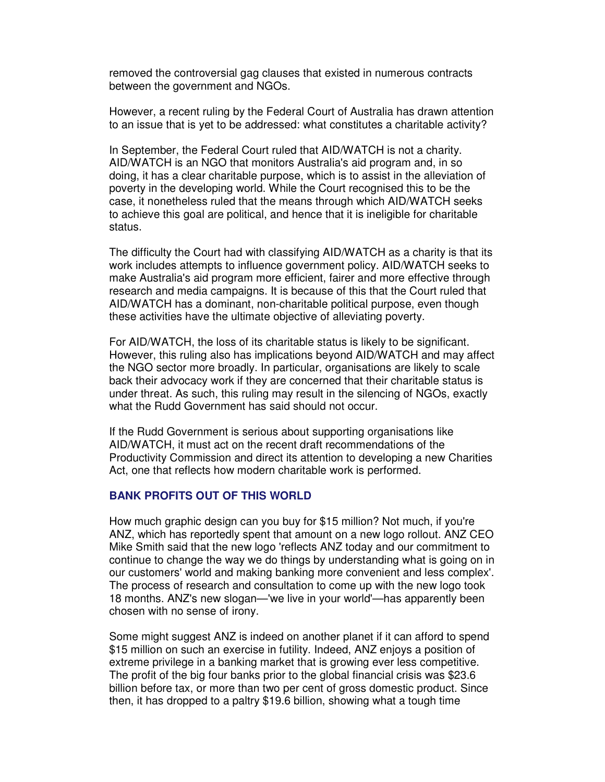removed the controversial gag clauses that existed in numerous contracts between the government and NGOs.

However, a recent ruling by the Federal Court of Australia has drawn attention to an issue that is yet to be addressed: what constitutes a charitable activity?

In September, the Federal Court ruled that AID/WATCH is not a charity. AID/WATCH is an NGO that monitors Australia's aid program and, in so doing, it has a clear charitable purpose, which is to assist in the alleviation of poverty in the developing world. While the Court recognised this to be the case, it nonetheless ruled that the means through which AID/WATCH seeks to achieve this goal are political, and hence that it is ineligible for charitable status.

The difficulty the Court had with classifying AID/WATCH as a charity is that its work includes attempts to influence government policy. AID/WATCH seeks to make Australia's aid program more efficient, fairer and more effective through research and media campaigns. It is because of this that the Court ruled that AID/WATCH has a dominant, non-charitable political purpose, even though these activities have the ultimate objective of alleviating poverty.

For AID/WATCH, the loss of its charitable status is likely to be significant. However, this ruling also has implications beyond AID/WATCH and may affect the NGO sector more broadly. In particular, organisations are likely to scale back their advocacy work if they are concerned that their charitable status is under threat. As such, this ruling may result in the silencing of NGOs, exactly what the Rudd Government has said should not occur.

If the Rudd Government is serious about supporting organisations like AID/WATCH, it must act on the recent draft recommendations of the Productivity Commission and direct its attention to developing a new Charities Act, one that reflects how modern charitable work is performed.

#### **BANK PROFITS OUT OF THIS WORLD**

How much graphic design can you buy for \$15 million? Not much, if you're ANZ, which has reportedly spent that amount on a new logo rollout. ANZ CEO Mike Smith said that the new logo 'reflects ANZ today and our commitment to continue to change the way we do things by understanding what is going on in our customers' world and making banking more convenient and less complex'. The process of research and consultation to come up with the new logo took 18 months. ANZ's new slogan—'we live in your world'—has apparently been chosen with no sense of irony.

Some might suggest ANZ is indeed on another planet if it can afford to spend \$15 million on such an exercise in futility. Indeed, ANZ enjoys a position of extreme privilege in a banking market that is growing ever less competitive. The profit of the big four banks prior to the global financial crisis was \$23.6 billion before tax, or more than two per cent of gross domestic product. Since then, it has dropped to a paltry \$19.6 billion, showing what a tough time